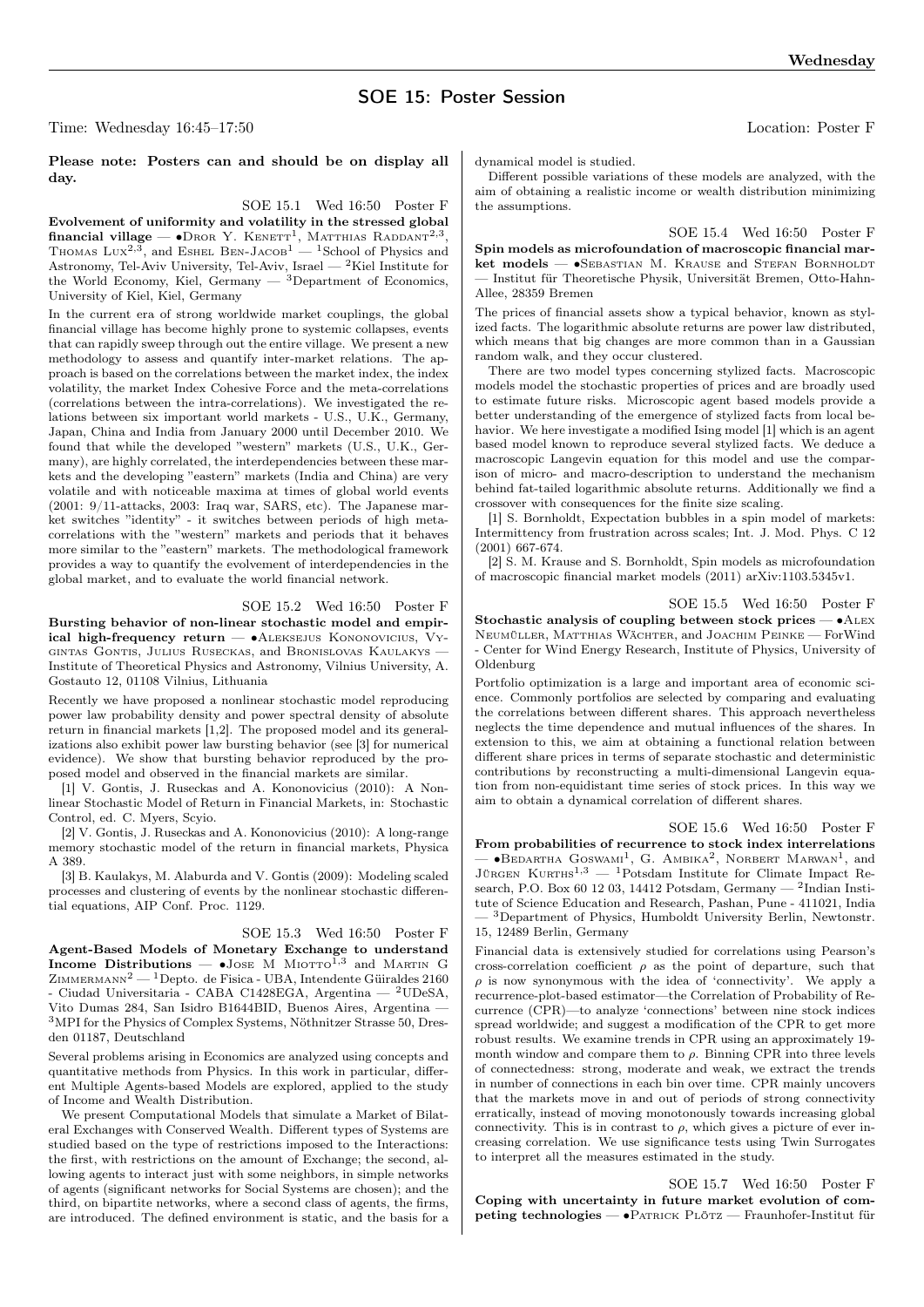# SOE 15: Poster Session

Time: Wednesday 16:45–17:50 Location: Poster F

# Please note: Posters can and should be on display all day.

#### SOE 15.1 Wed 16:50 Poster F

Evolvement of uniformity and volatility in the stressed global **financial village — •**Dror Y. KENETT<sup>1</sup>, MATTHIAS RADDANT<sup>2,3</sup>, Thomas Lux<sup>2,3</sup>, and Eshel Ben-Jacob<sup>1</sup> — <sup>1</sup>School of Physics and Astronomy, Tel-Aviv University, Tel-Aviv, Israel —  $^{2}$ Kiel Institute for the World Economy, Kiel, Germany — 3Department of Economics, University of Kiel, Kiel, Germany

In the current era of strong worldwide market couplings, the global financial village has become highly prone to systemic collapses, events that can rapidly sweep through out the entire village. We present a new methodology to assess and quantify inter-market relations. The approach is based on the correlations between the market index, the index volatility, the market Index Cohesive Force and the meta-correlations (correlations between the intra-correlations). We investigated the relations between six important world markets - U.S., U.K., Germany, Japan, China and India from January 2000 until December 2010. We found that while the developed "western" markets (U.S., U.K., Germany), are highly correlated, the interdependencies between these markets and the developing "eastern" markets (India and China) are very volatile and with noticeable maxima at times of global world events (2001: 9/11-attacks, 2003: Iraq war, SARS, etc). The Japanese market switches "identity" - it switches between periods of high metacorrelations with the "western" markets and periods that it behaves more similar to the "eastern" markets. The methodological framework provides a way to quantify the evolvement of interdependencies in the global market, and to evaluate the world financial network.

# SOE 15.2 Wed 16:50 Poster F

Bursting behavior of non-linear stochastic model and empirical high-frequency return —  $\bullet$ ALEKSEJUS KONONOVICIUS, VYgintas Gontis, Julius Ruseckas, and Bronislovas Kaulakys — Institute of Theoretical Physics and Astronomy, Vilnius University, A. Gostauto 12, 01108 Vilnius, Lithuania

Recently we have proposed a nonlinear stochastic model reproducing power law probability density and power spectral density of absolute return in financial markets [1,2]. The proposed model and its generalizations also exhibit power law bursting behavior (see [3] for numerical evidence). We show that bursting behavior reproduced by the proposed model and observed in the financial markets are similar.

[1] V. Gontis, J. Ruseckas and A. Kononovicius (2010): A Nonlinear Stochastic Model of Return in Financial Markets, in: Stochastic Control, ed. C. Myers, Scyio.

[2] V. Gontis, J. Ruseckas and A. Kononovicius (2010): A long-range memory stochastic model of the return in financial markets, Physica A 389.

[3] B. Kaulakys, M. Alaburda and V. Gontis (2009): Modeling scaled processes and clustering of events by the nonlinear stochastic differential equations, AIP Conf. Proc. 1129.

#### SOE 15.3 Wed 16:50 Poster F

Agent-Based Models of Monetary Exchange to understand Income Distributions — •Jose M MIOTTO<sup>1,3</sup> and MARTIN G  $Z$ IMMERMANN<sup>2</sup> — <sup>1</sup>Depto. de Fisica - UBA, Intendente Güiraldes 2160 - Ciudad Universitaria - CABA C1428EGA, Argentina — <sup>2</sup>UDeSA, Vito Dumas 284, San Isidro B1644BID, Buenos Aires, Argentina — <sup>3</sup>MPI for the Physics of Complex Systems, Nöthnitzer Strasse 50, Dresden 01187, Deutschland

Several problems arising in Economics are analyzed using concepts and quantitative methods from Physics. In this work in particular, different Multiple Agents-based Models are explored, applied to the study of Income and Wealth Distribution.

We present Computational Models that simulate a Market of Bilateral Exchanges with Conserved Wealth. Different types of Systems are studied based on the type of restrictions imposed to the Interactions: the first, with restrictions on the amount of Exchange; the second, allowing agents to interact just with some neighbors, in simple networks of agents (significant networks for Social Systems are chosen); and the third, on bipartite networks, where a second class of agents, the firms, are introduced. The defined environment is static, and the basis for a

dynamical model is studied.

Different possible variations of these models are analyzed, with the aim of obtaining a realistic income or wealth distribution minimizing the assumptions.

SOE 15.4 Wed 16:50 Poster F

Spin models as microfoundation of macroscopic financial market models — •SEBASTIAN M. KRAUSE and STEFAN BORNHOLDT — Institut für Theoretische Physik, Universität Bremen, Otto-Hahn-Allee, 28359 Bremen

The prices of financial assets show a typical behavior, known as stylized facts. The logarithmic absolute returns are power law distributed, which means that big changes are more common than in a Gaussian random walk, and they occur clustered.

There are two model types concerning stylized facts. Macroscopic models model the stochastic properties of prices and are broadly used to estimate future risks. Microscopic agent based models provide a better understanding of the emergence of stylized facts from local behavior. We here investigate a modified Ising model [1] which is an agent based model known to reproduce several stylized facts. We deduce a macroscopic Langevin equation for this model and use the comparison of micro- and macro-description to understand the mechanism behind fat-tailed logarithmic absolute returns. Additionally we find a crossover with consequences for the finite size scaling.

[1] S. Bornholdt, Expectation bubbles in a spin model of markets: Intermittency from frustration across scales; Int. J. Mod. Phys. C 12 (2001) 667-674.

[2] S. M. Krause and S. Bornholdt, Spin models as microfoundation of macroscopic financial market models (2011) arXiv:1103.5345v1.

SOE 15.5 Wed 16:50 Poster F Stochastic analysis of coupling between stock prices — ∙Alex Neumüller, Matthias Wächter, and Joachim Peinke — ForWind - Center for Wind Energy Research, Institute of Physics, University of Oldenburg

Portfolio optimization is a large and important area of economic science. Commonly portfolios are selected by comparing and evaluating the correlations between different shares. This approach nevertheless neglects the time dependence and mutual influences of the shares. In extension to this, we aim at obtaining a functional relation between different share prices in terms of separate stochastic and deterministic contributions by reconstructing a multi-dimensional Langevin equation from non-equidistant time series of stock prices. In this way we aim to obtain a dynamical correlation of different shares.

SOE 15.6 Wed 16:50 Poster F From probabilities of recurrence to stock index interrelations — •Верактна Goswami<sup>1</sup>, G. Aмвіка<sup>2</sup>, Norbert Marwan<sup>1</sup>, and Jürgen Kurths<sup>1,3</sup> — <sup>1</sup>Potsdam Institute for Climate Impact Research, P.O. Box 60 12 03, 14412 Potsdam, Germany —  $^2$ Indian Institute of Science Education and Research, Pashan, Pune - 411021, India — <sup>3</sup>Department of Physics, Humboldt University Berlin, Newtonstr. 15, 12489 Berlin, Germany

Financial data is extensively studied for correlations using Pearson's cross-correlation coefficient  $\rho$  as the point of departure, such that  $\rho$  is now synonymous with the idea of 'connectivity'. We apply a recurrence-plot-based estimator—the Correlation of Probability of Recurrence (CPR)—to analyze 'connections' between nine stock indices spread worldwide; and suggest a modification of the CPR to get more robust results. We examine trends in CPR using an approximately 19 month window and compare them to  $\rho$ . Binning CPR into three levels of connectedness: strong, moderate and weak, we extract the trends in number of connections in each bin over time. CPR mainly uncovers that the markets move in and out of periods of strong connectivity erratically, instead of moving monotonously towards increasing global connectivity. This is in contrast to  $\rho$ , which gives a picture of ever increasing correlation. We use significance tests using Twin Surrogates to interpret all the measures estimated in the study.

SOE 15.7 Wed 16:50 Poster F Coping with uncertainty in future market evolution of competing technologies — ∙Patrick Plötz — Fraunhofer-Institut für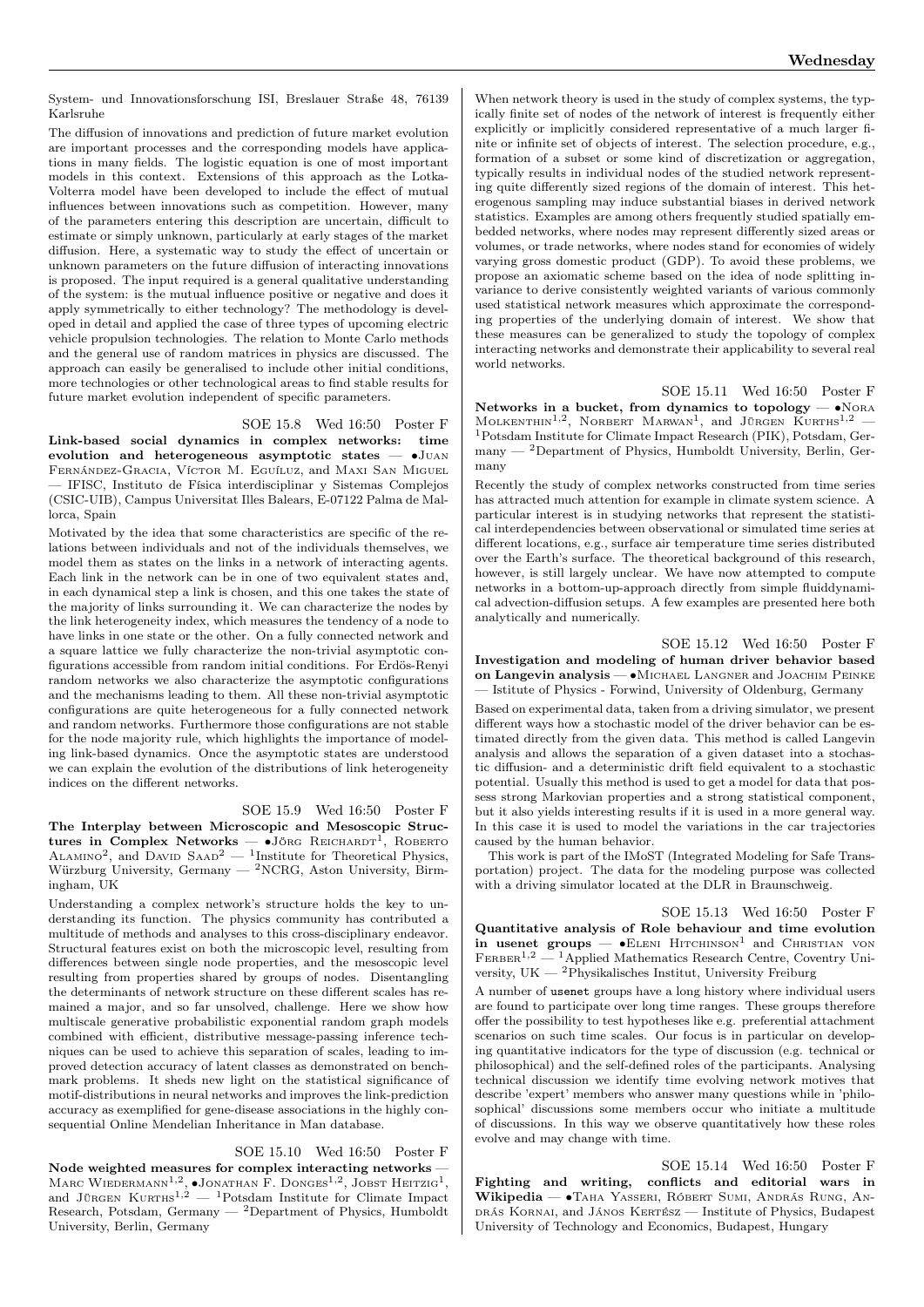System- und Innovationsforschung ISI, Breslauer Straße 48, 76139 Karlsruhe

The diffusion of innovations and prediction of future market evolution are important processes and the corresponding models have applications in many fields. The logistic equation is one of most important models in this context. Extensions of this approach as the Lotka-Volterra model have been developed to include the effect of mutual influences between innovations such as competition. However, many of the parameters entering this description are uncertain, difficult to estimate or simply unknown, particularly at early stages of the market diffusion. Here, a systematic way to study the effect of uncertain or unknown parameters on the future diffusion of interacting innovations is proposed. The input required is a general qualitative understanding of the system: is the mutual influence positive or negative and does it apply symmetrically to either technology? The methodology is developed in detail and applied the case of three types of upcoming electric vehicle propulsion technologies. The relation to Monte Carlo methods and the general use of random matrices in physics are discussed. The approach can easily be generalised to include other initial conditions, more technologies or other technological areas to find stable results for future market evolution independent of specific parameters.

#### SOE 15.8 Wed 16:50 Poster F

Link-based social dynamics in complex networks: time evolution and heterogeneous asymptotic states — ∙Juan Fernández-Gracia, Víctor M. Eguíluz, and Maxi San Miguel — IFISC, Instituto de Física interdisciplinar y Sistemas Complejos (CSIC-UIB), Campus Universitat Illes Balears, E-07122 Palma de Mallorca, Spain

Motivated by the idea that some characteristics are specific of the relations between individuals and not of the individuals themselves, we model them as states on the links in a network of interacting agents. Each link in the network can be in one of two equivalent states and, in each dynamical step a link is chosen, and this one takes the state of the majority of links surrounding it. We can characterize the nodes by the link heterogeneity index, which measures the tendency of a node to have links in one state or the other. On a fully connected network and a square lattice we fully characterize the non-trivial asymptotic configurations accessible from random initial conditions. For Erdös-Renyi random networks we also characterize the asymptotic configurations and the mechanisms leading to them. All these non-trivial asymptotic configurations are quite heterogeneous for a fully connected network and random networks. Furthermore those configurations are not stable for the node majority rule, which highlights the importance of modeling link-based dynamics. Once the asymptotic states are understood we can explain the evolution of the distributions of link heterogeneity indices on the different networks.

#### SOE 15.9 Wed 16:50 Poster F

The Interplay between Microscopic and Mesoscopic Structures in Complex Networks —  $\bullet$ Jörg Reichardt<sup>1</sup>, Roberto ALAMINO<sup>2</sup>, and DAVID SAAD<sup>2</sup> — <sup>1</sup>Institute for Theoretical Physics, Würzburg University, Germany  $2NCRG$ , Aston University, Birmingham, UK

Understanding a complex network's structure holds the key to understanding its function. The physics community has contributed a multitude of methods and analyses to this cross-disciplinary endeavor. Structural features exist on both the microscopic level, resulting from differences between single node properties, and the mesoscopic level resulting from properties shared by groups of nodes. Disentangling the determinants of network structure on these different scales has remained a major, and so far unsolved, challenge. Here we show how multiscale generative probabilistic exponential random graph models combined with efficient, distributive message-passing inference techniques can be used to achieve this separation of scales, leading to improved detection accuracy of latent classes as demonstrated on benchmark problems. It sheds new light on the statistical significance of motif-distributions in neural networks and improves the link-prediction accuracy as exemplified for gene-disease associations in the highly consequential Online Mendelian Inheritance in Man database.

### SOE 15.10 Wed 16:50 Poster F

Node weighted measures for complex interacting networks — Marc Wiedermann<sup>1,2</sup>, •Jonathan F. Donges<sup>1,2</sup>, Jobst Heitzig<sup>1</sup>, and Jürgen Kurths<sup>1,2</sup> — <sup>1</sup>Potsdam Institute for Climate Impact Research, Potsdam, Germany — <sup>2</sup>Department of Physics, Humboldt University, Berlin, Germany

When network theory is used in the study of complex systems, the typically finite set of nodes of the network of interest is frequently either explicitly or implicitly considered representative of a much larger finite or infinite set of objects of interest. The selection procedure, e.g., formation of a subset or some kind of discretization or aggregation, typically results in individual nodes of the studied network representing quite differently sized regions of the domain of interest. This heterogenous sampling may induce substantial biases in derived network statistics. Examples are among others frequently studied spatially embedded networks, where nodes may represent differently sized areas or volumes, or trade networks, where nodes stand for economies of widely varying gross domestic product (GDP). To avoid these problems, we propose an axiomatic scheme based on the idea of node splitting invariance to derive consistently weighted variants of various commonly used statistical network measures which approximate the corresponding properties of the underlying domain of interest. We show that these measures can be generalized to study the topology of complex interacting networks and demonstrate their applicability to several real world networks.

SOE 15.11 Wed 16:50 Poster F Networks in a bucket, from dynamics to topology — •NORA  $M$ OLKENTHIN<sup>1,2</sup>, NORBERT MARWAN<sup>1</sup>, and JÜRGEN KURTHS<sup>1,2</sup> – <sup>1</sup>Potsdam Institute for Climate Impact Research (PIK), Potsdam, Germany — <sup>2</sup>Department of Physics, Humboldt University, Berlin, Germany

Recently the study of complex networks constructed from time series has attracted much attention for example in climate system science. A particular interest is in studying networks that represent the statistical interdependencies between observational or simulated time series at different locations, e.g., surface air temperature time series distributed over the Earth's surface. The theoretical background of this research, however, is still largely unclear. We have now attempted to compute networks in a bottom-up-approach directly from simple fluiddynamical advection-diffusion setups. A few examples are presented here both analytically and numerically.

SOE 15.12 Wed 16:50 Poster F Investigation and modeling of human driver behavior based on Langevin analysis — •MICHAEL LANGNER and JOACHIM PEINKE — Istitute of Physics - Forwind, University of Oldenburg, Germany

Based on experimental data, taken from a driving simulator, we present different ways how a stochastic model of the driver behavior can be estimated directly from the given data. This method is called Langevin analysis and allows the separation of a given dataset into a stochastic diffusion- and a deterministic drift field equivalent to a stochastic potential. Usually this method is used to get a model for data that possess strong Markovian properties and a strong statistical component, but it also yields interesting results if it is used in a more general way. In this case it is used to model the variations in the car trajectories caused by the human behavior.

This work is part of the IMoST (Integrated Modeling for Safe Transportation) project. The data for the modeling purpose was collected with a driving simulator located at the DLR in Braunschweig.

SOE 15.13 Wed 16:50 Poster F Quantitative analysis of Role behaviour and time evolution in usenet groups —  $\bullet$ ELENI HITCHINSON<sup>1</sup> and CHRISTIAN VON  $FERBER<sup>1,2</sup>$  — <sup>1</sup>Applied Mathematics Research Centre, Coventry University, UK —  $^{2}$ Physikalisches Institut, University Freiburg

A number of usenet groups have a long history where individual users are found to participate over long time ranges. These groups therefore offer the possibility to test hypotheses like e.g. preferential attachment scenarios on such time scales. Our focus is in particular on developing quantitative indicators for the type of discussion (e.g. technical or philosophical) and the self-defined roles of the participants. Analysing technical discussion we identify time evolving network motives that describe 'expert' members who answer many questions while in 'philosophical' discussions some members occur who initiate a multitude of discussions. In this way we observe quantitatively how these roles evolve and may change with time.

SOE 15.14 Wed 16:50 Poster F Fighting and writing, conflicts and editorial wars in Wikipedia — ∙Taha Yasseri, Róbert Sumi, András Rung, András Kornai, and János Kertész — Institute of Physics, Budapest University of Technology and Economics, Budapest, Hungary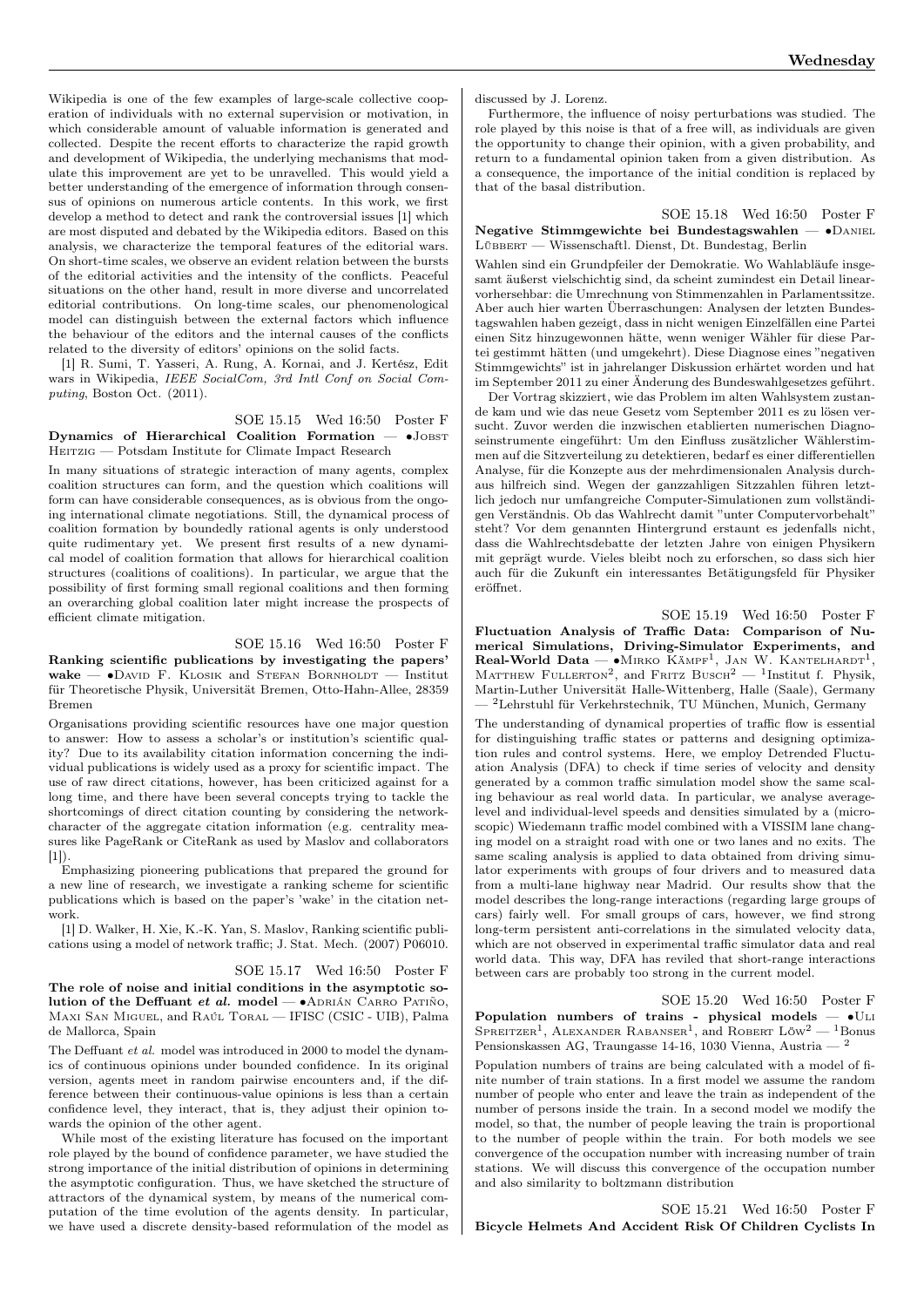Wikipedia is one of the few examples of large-scale collective cooperation of individuals with no external supervision or motivation, in which considerable amount of valuable information is generated and collected. Despite the recent efforts to characterize the rapid growth and development of Wikipedia, the underlying mechanisms that modulate this improvement are yet to be unravelled. This would yield a better understanding of the emergence of information through consensus of opinions on numerous article contents. In this work, we first develop a method to detect and rank the controversial issues [1] which are most disputed and debated by the Wikipedia editors. Based on this analysis, we characterize the temporal features of the editorial wars. On short-time scales, we observe an evident relation between the bursts of the editorial activities and the intensity of the conflicts. Peaceful situations on the other hand, result in more diverse and uncorrelated editorial contributions. On long-time scales, our phenomenological model can distinguish between the external factors which influence the behaviour of the editors and the internal causes of the conflicts related to the diversity of editors' opinions on the solid facts.

[1] R. Sumi, T. Yasseri, A. Rung, A. Kornai, and J. Kertész, Edit wars in Wikipedia, IEEE SocialCom, 3rd Intl Conf on Social Computing, Boston Oct. (2011).

#### SOE 15.15 Wed 16:50 Poster F

Dynamics of Hierarchical Coalition Formation — •JOBST HEITZIG — Potsdam Institute for Climate Impact Research

In many situations of strategic interaction of many agents, complex coalition structures can form, and the question which coalitions will form can have considerable consequences, as is obvious from the ongoing international climate negotiations. Still, the dynamical process of coalition formation by boundedly rational agents is only understood quite rudimentary yet. We present first results of a new dynamical model of coalition formation that allows for hierarchical coalition structures (coalitions of coalitions). In particular, we argue that the possibility of first forming small regional coalitions and then forming an overarching global coalition later might increase the prospects of efficient climate mitigation.

SOE 15.16 Wed 16:50 Poster F Ranking scientific publications by investigating the papers' wake —  $\bullet$ David F. Klosik and Stefan Bornholdt — Institut für Theoretische Physik, Universität Bremen, Otto-Hahn-Allee, 28359 Bremen

Organisations providing scientific resources have one major question to answer: How to assess a scholar's or institution's scientific quality? Due to its availability citation information concerning the individual publications is widely used as a proxy for scientific impact. The use of raw direct citations, however, has been criticized against for a long time, and there have been several concepts trying to tackle the shortcomings of direct citation counting by considering the networkcharacter of the aggregate citation information (e.g. centrality measures like PageRank or CiteRank as used by Maslov and collaborators [1]).

Emphasizing pioneering publications that prepared the ground for a new line of research, we investigate a ranking scheme for scientific publications which is based on the paper's 'wake' in the citation network.

[1] D. Walker, H. Xie, K.-K. Yan, S. Maslov, Ranking scientific publications using a model of network traffic; J. Stat. Mech. (2007) P06010.

SOE 15.17 Wed 16:50 Poster F

The role of noise and initial conditions in the asymptotic solution of the Deffuant et al. model —  $\bullet$ ADRIÁN CARRO PATIÑO, Maxi San Miguel, and Raúl Toral — IFISC (CSIC - UIB), Palma de Mallorca, Spain

The Deffuant et al. model was introduced in 2000 to model the dynamics of continuous opinions under bounded confidence. In its original version, agents meet in random pairwise encounters and, if the difference between their continuous-value opinions is less than a certain confidence level, they interact, that is, they adjust their opinion towards the opinion of the other agent.

While most of the existing literature has focused on the important role played by the bound of confidence parameter, we have studied the strong importance of the initial distribution of opinions in determining the asymptotic configuration. Thus, we have sketched the structure of attractors of the dynamical system, by means of the numerical computation of the time evolution of the agents density. In particular, we have used a discrete density-based reformulation of the model as discussed by J. Lorenz.

Furthermore, the influence of noisy perturbations was studied. The role played by this noise is that of a free will, as individuals are given the opportunity to change their opinion, with a given probability, and return to a fundamental opinion taken from a given distribution. As a consequence, the importance of the initial condition is replaced by that of the basal distribution.

SOE 15.18 Wed 16:50 Poster F Negative Stimmgewichte bei Bundestagswahlen — ∙Daniel Lübbert — Wissenschaftl. Dienst, Dt. Bundestag, Berlin

Wahlen sind ein Grundpfeiler der Demokratie. Wo Wahlabläufe insgesamt äußerst vielschichtig sind, da scheint zumindest ein Detail linearvorhersehbar: die Umrechnung von Stimmenzahlen in Parlamentssitze. Aber auch hier warten Überraschungen: Analysen der letzten Bundestagswahlen haben gezeigt, dass in nicht wenigen Einzelfällen eine Partei einen Sitz hinzugewonnen hätte, wenn weniger Wähler für diese Partei gestimmt hätten (und umgekehrt). Diese Diagnose eines "negativen Stimmgewichts" ist in jahrelanger Diskussion erhärtet worden und hat im September 2011 zu einer Änderung des Bundeswahlgesetzes geführt.

Der Vortrag skizziert, wie das Problem im alten Wahlsystem zustande kam und wie das neue Gesetz vom September 2011 es zu lösen versucht. Zuvor werden die inzwischen etablierten numerischen Diagnoseinstrumente eingeführt: Um den Einfluss zusätzlicher Wählerstimmen auf die Sitzverteilung zu detektieren, bedarf es einer differentiellen Analyse, für die Konzepte aus der mehrdimensionalen Analysis durchaus hilfreich sind. Wegen der ganzzahligen Sitzzahlen führen letztlich jedoch nur umfangreiche Computer-Simulationen zum vollständigen Verständnis. Ob das Wahlrecht damit "unter Computervorbehalt" steht? Vor dem genannten Hintergrund erstaunt es jedenfalls nicht, dass die Wahlrechtsdebatte der letzten Jahre von einigen Physikern mit geprägt wurde. Vieles bleibt noch zu erforschen, so dass sich hier auch für die Zukunft ein interessantes Betätigungsfeld für Physiker eröffnet.

SOE 15.19 Wed 16:50 Poster F

Fluctuation Analysis of Traffic Data: Comparison of Numerical Simulations, Driving-Simulator Experiments, and Real-World Data —  $\bullet$ Mirko Kämpf<sup>1</sup>, Jan W. Kantelhardt<sup>1</sup>, MATTHEW FULLERTON<sup>2</sup>, and FRITZ BUSCH<sup>2</sup> - <sup>1</sup>Institut f. Physik, Martin-Luther Universität Halle-Wittenberg, Halle (Saale), Germany — <sup>2</sup>Lehrstuhl für Verkehrstechnik, TU München, Munich, Germany

The understanding of dynamical properties of traffic flow is essential for distinguishing traffic states or patterns and designing optimization rules and control systems. Here, we employ Detrended Fluctuation Analysis (DFA) to check if time series of velocity and density generated by a common traffic simulation model show the same scaling behaviour as real world data. In particular, we analyse averagelevel and individual-level speeds and densities simulated by a (microscopic) Wiedemann traffic model combined with a VISSIM lane changing model on a straight road with one or two lanes and no exits. The same scaling analysis is applied to data obtained from driving simulator experiments with groups of four drivers and to measured data from a multi-lane highway near Madrid. Our results show that the model describes the long-range interactions (regarding large groups of cars) fairly well. For small groups of cars, however, we find strong long-term persistent anti-correlations in the simulated velocity data, which are not observed in experimental traffic simulator data and real world data. This way, DFA has reviled that short-range interactions between cars are probably too strong in the current model.

SOE 15.20 Wed 16:50 Poster F Population numbers of trains - physical models — •ULI SPREITZER<sup>1</sup>, ALEXANDER RABANSER<sup>1</sup>, and ROBERT LÖW<sup>2</sup> - <sup>1</sup>Bonus Pensionskassen AG, Traungasse 14-16, 1030 Vienna, Austria — <sup>2</sup>

Population numbers of trains are being calculated with a model of finite number of train stations. In a first model we assume the random number of people who enter and leave the train as independent of the number of persons inside the train. In a second model we modify the model, so that, the number of people leaving the train is proportional to the number of people within the train. For both models we see convergence of the occupation number with increasing number of train stations. We will discuss this convergence of the occupation number and also similarity to boltzmann distribution

SOE 15.21 Wed 16:50 Poster F Bicycle Helmets And Accident Risk Of Children Cyclists In